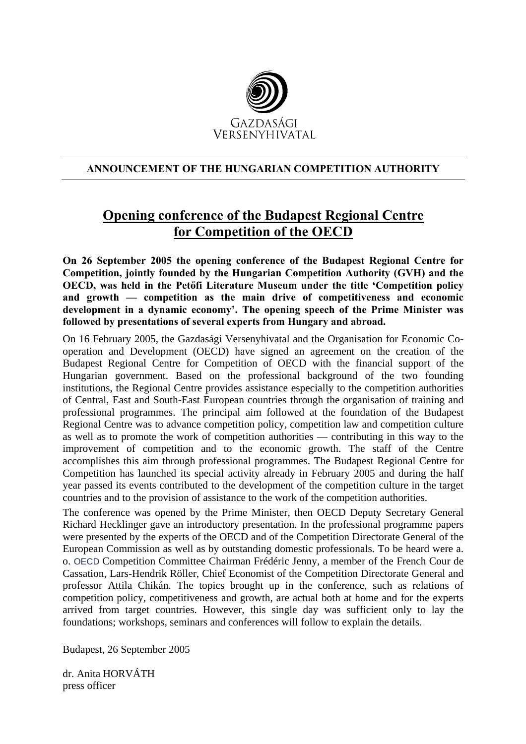

## **ANNOUNCEMENT OF THE HUNGARIAN COMPETITION AUTHORITY**

## **Opening conference of the Budapest Regional Centre for Competition of the OECD**

**On 26 September 2005 the opening conference of the Budapest Regional Centre for Competition, jointly founded by the Hungarian Competition Authority (GVH) and the OECD, was held in the Petőfi Literature Museum under the title 'Competition policy and growth — competition as the main drive of competitiveness and economic development in a dynamic economy'. The opening speech of the Prime Minister was followed by presentations of several experts from Hungary and abroad.**

On 16 February 2005, the Gazdasági Versenyhivatal and the Organisation for Economic Cooperation and Development (OECD) have signed an agreement on the creation of the Budapest Regional Centre for Competition of OECD with the financial support of the Hungarian government. Based on the professional background of the two founding institutions, the Regional Centre provides assistance especially to the competition authorities of Central, East and South-East European countries through the organisation of training and professional programmes. The principal aim followed at the foundation of the Budapest Regional Centre was to advance competition policy, competition law and competition culture as well as to promote the work of competition authorities — contributing in this way to the improvement of competition and to the economic growth. The staff of the Centre accomplishes this aim through professional programmes. The Budapest Regional Centre for Competition has launched its special activity already in February 2005 and during the half year passed its events contributed to the development of the competition culture in the target countries and to the provision of assistance to the work of the competition authorities.

The conference was opened by the Prime Minister, then OECD Deputy Secretary General Richard Hecklinger gave an introductory presentation. In the professional programme papers were presented by the experts of the OECD and of the Competition Directorate General of the European Commission as well as by outstanding domestic professionals. To be heard were a. o. OECD Competition Committee Chairman Frédéric Jenny, a member of the French Cour de Cassation, Lars-Hendrik Röller, Chief Economist of the Competition Directorate General and professor Attila Chikán. The topics brought up in the conference, such as relations of competition policy, competitiveness and growth, are actual both at home and for the experts arrived from target countries. However, this single day was sufficient only to lay the foundations; workshops, seminars and conferences will follow to explain the details.

Budapest, 26 September 2005

dr. Anita HORVÁTH press officer